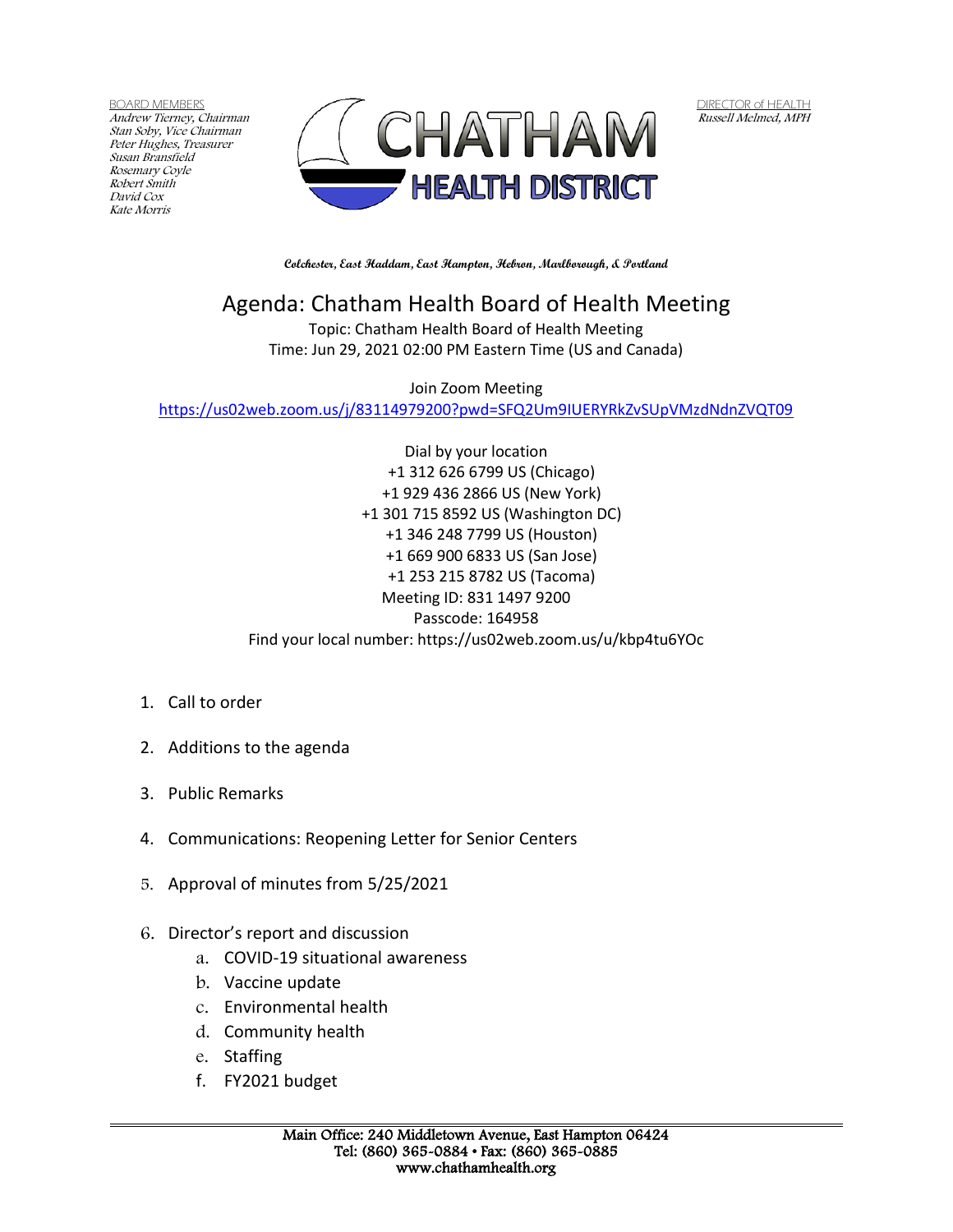BOARD MEMBERS Andrew Tierney, Chairman Stan Soby, Vice Chairman Peter Hughes, Treasurer Susan Bransfield Rosemary Coyle Robert Smith David Cox Kate Morris



DIRECTOR of HEALTH Russell Melmed, MPH

**Colchester, East Haddam, East Hampton, Hebron, Marlborough, & Portland**

## Agenda: Chatham Health Board of Health Meeting

Topic: Chatham Health Board of Health Meeting Time: Jun 29, 2021 02:00 PM Eastern Time (US and Canada)

Join Zoom Meeting <https://us02web.zoom.us/j/83114979200?pwd=SFQ2Um9IUERYRkZvSUpVMzdNdnZVQT09>

> Dial by your location +1 312 626 6799 US (Chicago) +1 929 436 2866 US (New York) +1 301 715 8592 US (Washington DC) +1 346 248 7799 US (Houston) +1 669 900 6833 US (San Jose) +1 253 215 8782 US (Tacoma) Meeting ID: 831 1497 9200 Passcode: 164958 Find your local number: https://us02web.zoom.us/u/kbp4tu6YOc

- 1. Call to order
- 2. Additions to the agenda
- 3. Public Remarks
- 4. Communications: Reopening Letter for Senior Centers
- 5. Approval of minutes from 5/25/2021
- 6. Director's report and discussion
	- a. COVID-19 situational awareness
	- b. Vaccine update
	- c. Environmental health
	- d. Community health
	- e. Staffing
	- f. FY2021 budget